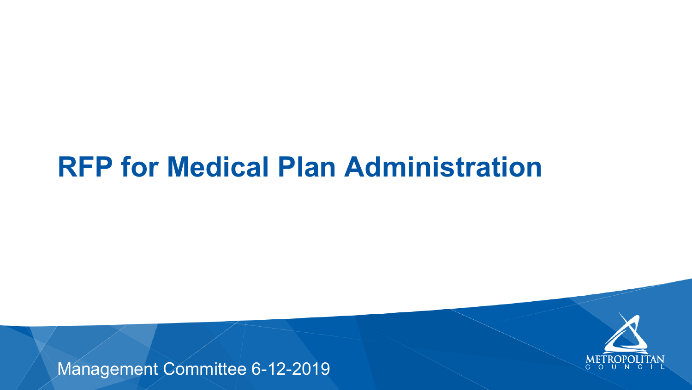### **RFP for Medical Plan Administration**

#### Management Committee 6-12-2019

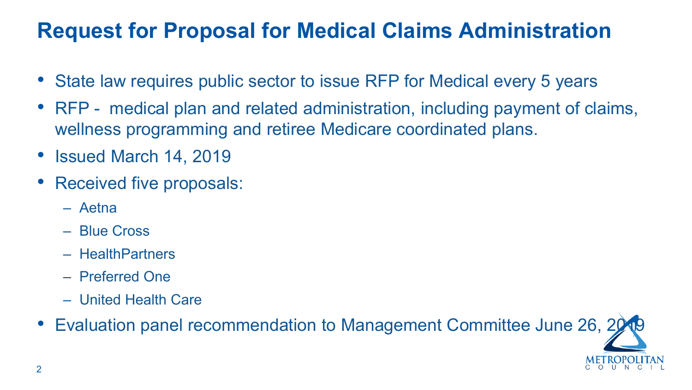### **Request for Proposal for Medical Claims Administration**

- State law requires public sector to issue RFP for Medical every 5 years
- RFP medical plan and related administration, including payment of claims, wellness programming and retiree Medicare coordinated plans.
- Issued March 14, 2019
- Received five proposals:
	- Aetna
	- Blue Cross
	- HealthPartners
	- Preferred One
	- United Health Care
- 



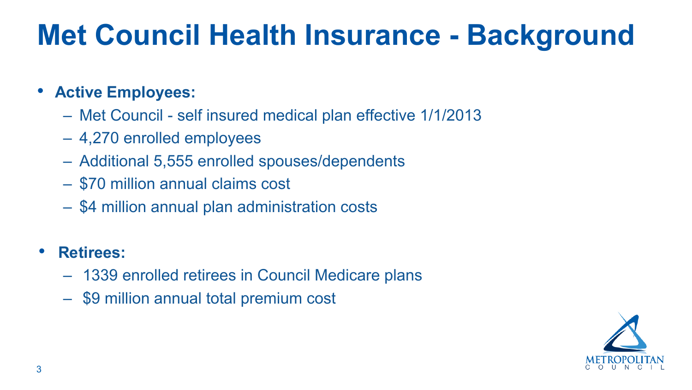

## **Met Council Health Insurance - Background**

- **Active Employees:**
	- Met Council self insured medical plan effective 1/1/2013
	- 4,270 enrolled employees
	- Additional 5,555 enrolled spouses/dependents
	- \$70 million annual claims cost
	- \$4 million annual plan administration costs

#### • **Retirees:**

- 1339 enrolled retirees in Council Medicare plans
- \$9 million annual total premium cost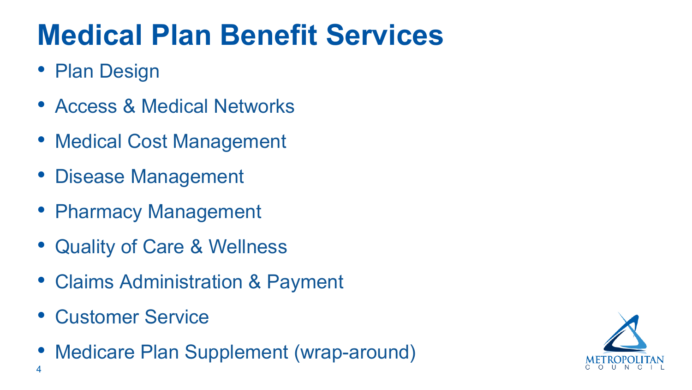



- Plan Design
- Access & Medical Networks
- Medical Cost Management
- Disease Management
- Pharmacy Management
- Quality of Care & Wellness
- Claims Administration & Payment
- Customer Service
- Medicare Plan Supplement (wrap-around)

# **Medical Plan Benefit Services**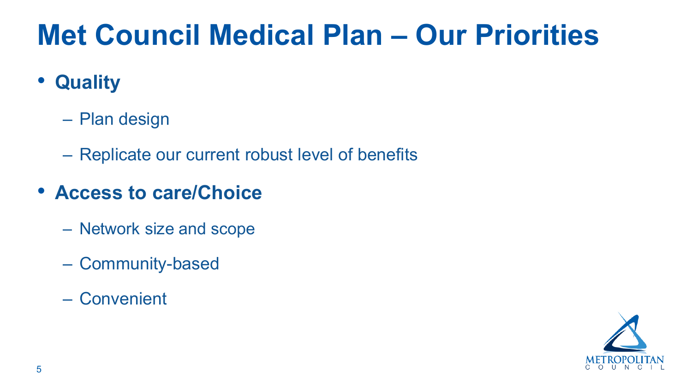

# **Met Council Medical Plan – Our Priorities**

- **Quality**
	- Plan design
	- Replicate our current robust level of benefits

#### • **Access to care/Choice**

- Network size and scope
- Community-based
- Convenient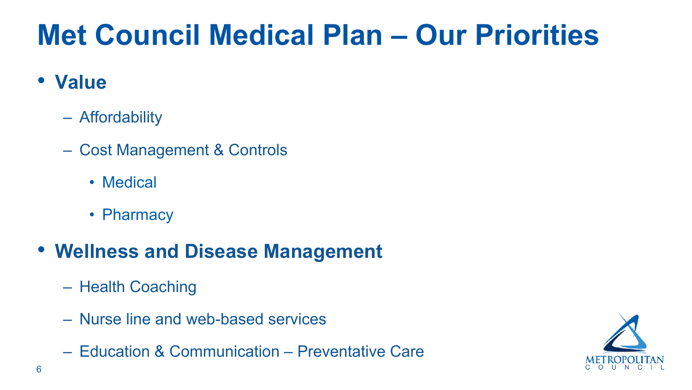

# **Met Council Medical Plan – Our Priorities**

#### • **Value**

- Affordability
- Cost Management & Controls
	- Medical
	- Pharmacy

#### • **Wellness and Disease Management**

- Health Coaching
- Nurse line and web-based services
- Education & Communication Preventative Care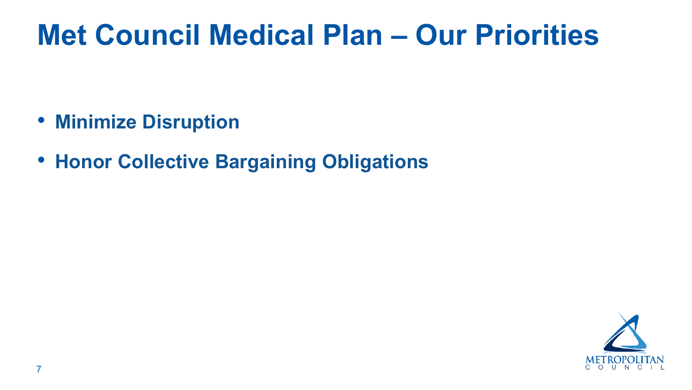

## **Met Council Medical Plan – Our Priorities**

- **Minimize Disruption**
- **Honor Collective Bargaining Obligations**